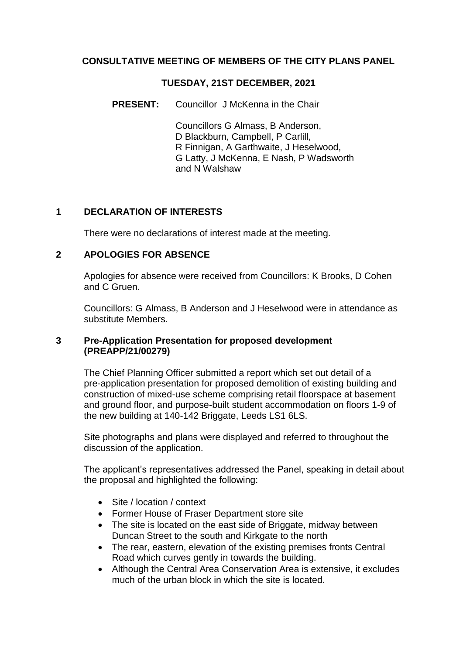## **CONSULTATIVE MEETING OF MEMBERS OF THE CITY PLANS PANEL**

#### **TUESDAY, 21ST DECEMBER, 2021**

### **PRESENT:** Councillor J McKenna in the Chair

Councillors G Almass, B Anderson, D Blackburn, Campbell, P Carlill, R Finnigan, A Garthwaite, J Heselwood, G Latty, J McKenna, E Nash, P Wadsworth and N Walshaw

### **1 DECLARATION OF INTERESTS**

There were no declarations of interest made at the meeting.

#### **2 APOLOGIES FOR ABSENCE**

Apologies for absence were received from Councillors: K Brooks, D Cohen and C Gruen.

Councillors: G Almass, B Anderson and J Heselwood were in attendance as substitute Members.

#### **3 Pre-Application Presentation for proposed development (PREAPP/21/00279)**

The Chief Planning Officer submitted a report which set out detail of a pre-application presentation for proposed demolition of existing building and construction of mixed-use scheme comprising retail floorspace at basement and ground floor, and purpose-built student accommodation on floors 1-9 of the new building at 140-142 Briggate, Leeds LS1 6LS.

Site photographs and plans were displayed and referred to throughout the discussion of the application.

The applicant's representatives addressed the Panel, speaking in detail about the proposal and highlighted the following:

- Site / location / context
- Former House of Fraser Department store site
- The site is located on the east side of Briggate, midway between Duncan Street to the south and Kirkgate to the north
- The rear, eastern, elevation of the existing premises fronts Central Road which curves gently in towards the building.
- Although the Central Area Conservation Area is extensive, it excludes much of the urban block in which the site is located.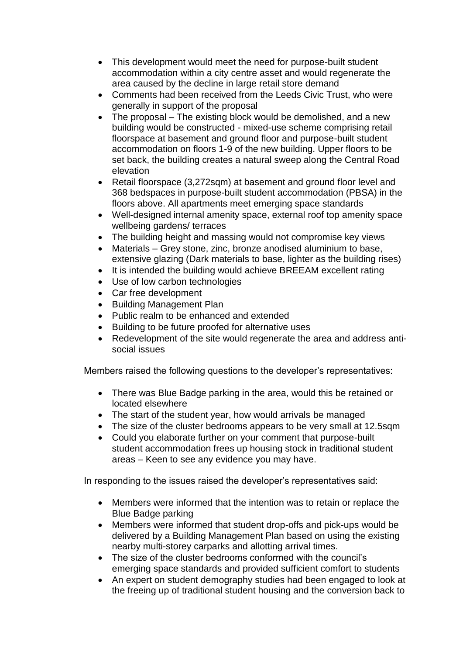- This development would meet the need for purpose-built student accommodation within a city centre asset and would regenerate the area caused by the decline in large retail store demand
- Comments had been received from the Leeds Civic Trust, who were generally in support of the proposal
- The proposal The existing block would be demolished, and a new building would be constructed - mixed-use scheme comprising retail floorspace at basement and ground floor and purpose-built student accommodation on floors 1-9 of the new building. Upper floors to be set back, the building creates a natural sweep along the Central Road elevation
- Retail floorspace (3,272sqm) at basement and ground floor level and 368 bedspaces in purpose-built student accommodation (PBSA) in the floors above. All apartments meet emerging space standards
- Well-designed internal amenity space, external roof top amenity space wellbeing gardens/ terraces
- The building height and massing would not compromise key views
- Materials Grey stone, zinc, bronze anodised aluminium to base, extensive glazing (Dark materials to base, lighter as the building rises)
- It is intended the building would achieve BREEAM excellent rating
- Use of low carbon technologies
- Car free development
- Building Management Plan
- Public realm to be enhanced and extended
- Building to be future proofed for alternative uses
- Redevelopment of the site would regenerate the area and address antisocial issues

Members raised the following questions to the developer's representatives:

- There was Blue Badge parking in the area, would this be retained or located elsewhere
- The start of the student year, how would arrivals be managed
- The size of the cluster bedrooms appears to be very small at 12.5sqm
- Could you elaborate further on your comment that purpose-built student accommodation frees up housing stock in traditional student areas – Keen to see any evidence you may have.

In responding to the issues raised the developer's representatives said:

- Members were informed that the intention was to retain or replace the Blue Badge parking
- Members were informed that student drop-offs and pick-ups would be delivered by a Building Management Plan based on using the existing nearby multi-storey carparks and allotting arrival times.
- The size of the cluster bedrooms conformed with the council's emerging space standards and provided sufficient comfort to students
- An expert on student demography studies had been engaged to look at the freeing up of traditional student housing and the conversion back to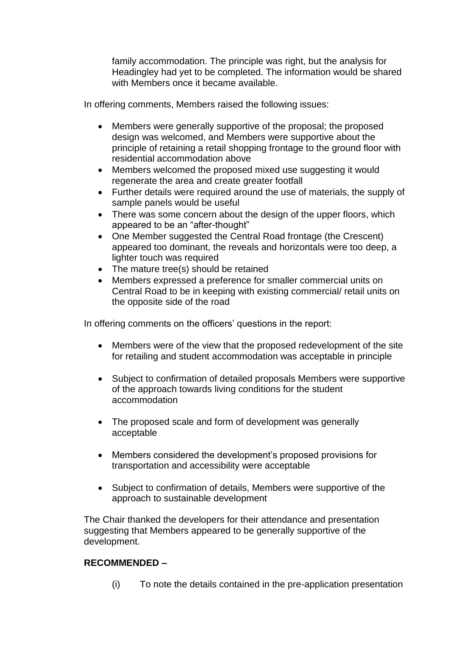family accommodation. The principle was right, but the analysis for Headingley had yet to be completed. The information would be shared with Members once it became available.

In offering comments, Members raised the following issues:

- Members were generally supportive of the proposal; the proposed design was welcomed, and Members were supportive about the principle of retaining a retail shopping frontage to the ground floor with residential accommodation above
- Members welcomed the proposed mixed use suggesting it would regenerate the area and create greater footfall
- Further details were required around the use of materials, the supply of sample panels would be useful
- There was some concern about the design of the upper floors, which appeared to be an "after-thought"
- One Member suggested the Central Road frontage (the Crescent) appeared too dominant, the reveals and horizontals were too deep, a lighter touch was required
- The mature tree(s) should be retained
- Members expressed a preference for smaller commercial units on Central Road to be in keeping with existing commercial/ retail units on the opposite side of the road

In offering comments on the officers' questions in the report:

- Members were of the view that the proposed redevelopment of the site for retailing and student accommodation was acceptable in principle
- Subject to confirmation of detailed proposals Members were supportive of the approach towards living conditions for the student accommodation
- The proposed scale and form of development was generally acceptable
- Members considered the development's proposed provisions for transportation and accessibility were acceptable
- Subject to confirmation of details, Members were supportive of the approach to sustainable development

The Chair thanked the developers for their attendance and presentation suggesting that Members appeared to be generally supportive of the development.

# **RECOMMENDED –**

(i) To note the details contained in the pre-application presentation